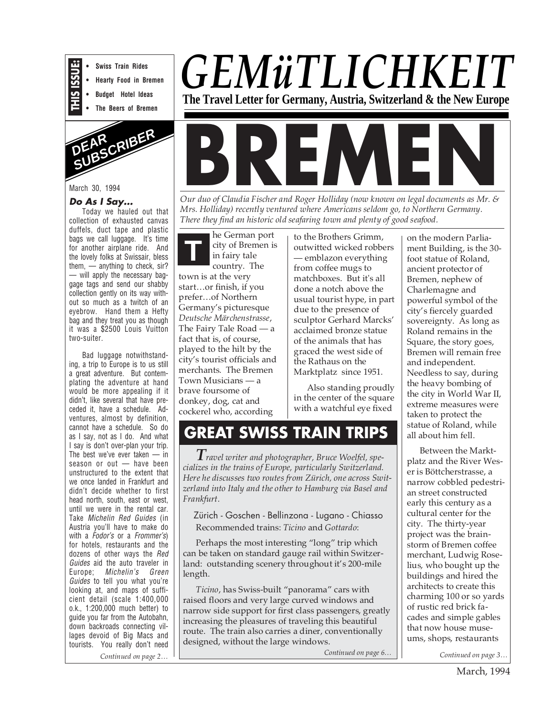

**• Swiss Train Rides • Hearty Food in Bremen**

- **Budget Hotel Ideas**
- **The Beers of Bremen**



March 30, 1994

#### **Do As I Say...**

Today we hauled out that collection of exhausted canvas duffels, duct tape and plastic bags we call luggage. It's time for another airplane ride. And the lovely folks at Swissair, bless them, — anything to check, sir? — will apply the necessary baggage tags and send our shabby collection gently on its way without so much as a twitch of an eyebrow. Hand them a Hefty bag and they treat you as though it was a \$2500 Louis Vuitton two-suiter.

Bad luggage notwithstanding, a trip to Europe is to us still a great adventure. But contemplating the adventure at hand would be more appealing if it didn't, like several that have preceded it, have a schedule. Adventures, almost by definition, cannot have a schedule. So do as I say, not as I do. And what I say is don't over-plan your trip. The best we've ever taken — in season or out — have been unstructured to the extent that we once landed in Frankfurt and didn't decide whether to first head north, south, east or west, until we were in the rental car. Take Michelin Red Guides (in Austria you'll have to make do with a Fodor's or a Frommer's) for hotels, restaurants and the dozens of other ways the Red Guides aid the auto traveler in Europe; Michelin's Green Guides to tell you what you're looking at, and maps of sufficient detail (scale 1:400,000 o.k., 1:200,000 much better) to guide you far from the Autobahn, down backroads connecting villages devoid of Big Macs and tourists. You really don't need





*Our duo of Claudia Fischer and Roger Holliday (now known on legal documents as Mr. & Mrs. Holliday) recently ventured where Americans seldom go, to Northern Germany. There they find an historic old seafaring town and plenty of good seafood.*

**T** he German port city of Bremen is in fairy tale country. The town is at the very start…or finish, if you prefer…of Northern Germany's picturesque *Deutsche Märchenstrasse*, The Fairy Tale Road — a fact that is, of course, played to the hilt by the city's tourist officials and merchants. The Bremen Town Musicians — a brave foursome of donkey, dog, cat and cockerel who, according

to the Brothers Grimm, outwitted wicked robbers — emblazon everything from coffee mugs to matchboxes. But it's all done a notch above the usual tourist hype, in part due to the presence of sculptor Gerhard Marcks' acclaimed bronze statue of the animals that has graced the west side of the Rathaus on the Marktplatz since 1951.

Also standing proudly in the center of the square with a watchful eye fixed

**GREAT SWISS TRAIN TRIPS**

*Travel writer and photographer, Bruce Woelfel, specializes in the trains of Europe, particularly Switzerland. Here he discusses two routes from Zürich, one across Switzerland into Italy and the other to Hamburg via Basel and Frankfurt.*

Zürich - Goschen - Bellinzona - Lugano - Chiasso Recommended trains: *Ticino* and *Gottardo*:

Perhaps the most interesting "long" trip which can be taken on standard gauge rail within Switzerland: outstanding scenery throughout it's 200-mile length.

*Ticino*, has Swiss-built "panorama" cars with raised floors and very large curved windows and narrow side support for first class passengers, greatly increasing the pleasures of traveling this beautiful route. The train also carries a diner, conventionally designed, without the large windows.

*Continued on page 6…*

on the modern Parliament Building, is the 30 foot statue of Roland, ancient protector of Bremen, nephew of Charlemagne and powerful symbol of the city's fiercely guarded sovereignty. As long as Roland remains in the Square, the story goes, Bremen will remain free and independent. Needless to say, during the heavy bombing of the city in World War II, extreme measures were taken to protect the statue of Roland, while all about him fell.

Between the Marktplatz and the River Weser is Böttcherstrasse, a narrow cobbled pedestrian street constructed early this century as a cultural center for the city. The thirty-year project was the brainstorm of Bremen coffee merchant, Ludwig Roselius, who bought up the buildings and hired the architects to create this charming 100 or so yards of rustic red brick facades and simple gables that now house museums, shops, restaurants

*Continued on page 2… Continued on page 3…*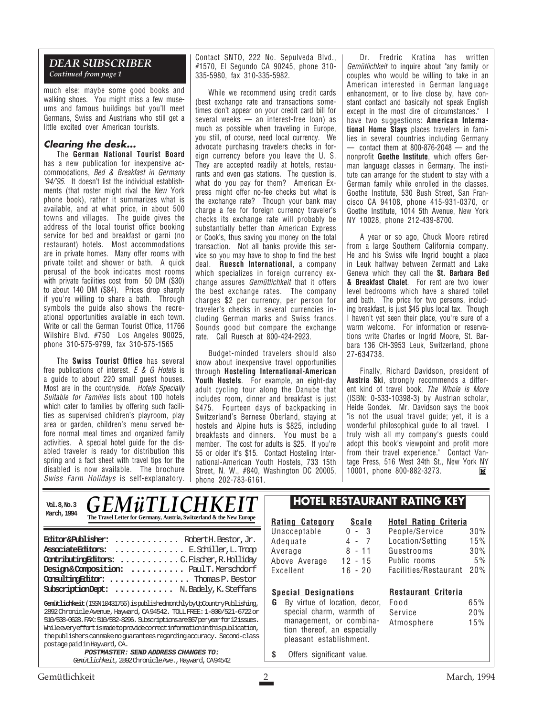### *DEAR SUBSCRIBER Continued from page 1*

much else: maybe some good books and walking shoes. You might miss a few museums and famous buildings but you'll meet Germans, Swiss and Austrians who still get a little excited over American tourists.

### **Clearing the desk...**

The **German National Tourist Board** has a new publication for inexpensive accommodations, Bed & Breakfast in Germany '94/'95. It doesn't list the individual establishments (that roster might rival the New York phone book), rather it summarizes what is available, and at what price, in about 500 towns and villages. The guide gives the address of the local tourist office booking service for bed and breakfast or garni (no restaurant) hotels. Most accommodations are in private homes. Many offer rooms with private toilet and shower or bath. A quick perusal of the book indicates most rooms with private facilities cost from 50 DM (\$30) to about 140 DM (\$84). Prices drop sharply if you're willing to share a bath. Through symbols the guide also shows the recreational opportunities available in each town. Write or call the German Tourist Office, 11766 Wilshire Blvd. #750 Los Angeles 90025, phone 310-575-9799, fax 310-575-1565

The **Swiss Tourist Office** has several free publications of interest. E & G Hotels is a guide to about 220 small guest houses. Most are in the countryside. Hotels Specially Suitable for Families lists about 100 hotels which cater to families by offering such facilities as supervised children's playroom, play area or garden, children's menu served before normal meal times and organized family activities. A special hotel guide for the disabled traveler is ready for distribution this spring and a fact sheet with travel tips for the disabled is now available. The brochure Swiss Farm Holidays is self-explanatory. Contact SNTO, 222 No. Sepulveda Blvd., #1570, El Segundo CA 90245, phone 310- 335-5980, fax 310-335-5982.

While we recommend using credit cards (best exchange rate and transactions sometimes don't appear on your credit card bill for several weeks — an interest-free loan) as much as possible when traveling in Europe, you still, of course, need local currency. We advocate purchasing travelers checks in foreign currency before you leave the U. S. They are accepted readily at hotels, restaurants and even gas stations. The question is, what do you pay for them? American Express might offer no-fee checks but what is the exchange rate? Though your bank may charge a fee for foreign currency traveler's checks its exchange rate will probably be substantially better than American Express or Cook's, thus saving you money on the total transaction. Not all banks provide this service so you may have to shop to find the best deal. **Ruesch International**, a company which specializes in foreign currency exchange assures *Gemütlichkeit* that it offers the best exchange rates. The company charges \$2 per currency, per person for traveler's checks in several currencies including German marks and Swiss francs. Sounds good but compare the exchange rate. Call Ruesch at 800-424-2923.

Budget-minded travelers should also know about inexpensive travel opportunities through **Hosteling International-American Youth Hostels**. For example, an eight-day adult cycling tour along the Danube that includes room, dinner and breakfast is just \$475. Fourteen days of backpacking in Switzerland's Bernese Oberland, staying at hostels and Alpine huts is \$825, including breakfasts and dinners. You must be a member. The cost for adults is \$25. If you're 55 or older it's \$15. Contact Hosteling International-American Youth Hostels, 733 15th Street, N. W., #840, Washington DC 20005, phone 202-783-6161.

Dr. Fredric Kratina has written Gemütlichkeit to inquire about "any family or couples who would be willing to take in an American interested in German language enhancement, or to live close by, have constant contact and basically not speak English except in the most dire of circumstances." I have two suggestions: **American International Home Stays** places travelers in families in several countries including Germany  $-$  contact them at 800-876-2048  $-$  and the nonprofit **Goethe Institute**, which offers German language classes in Germany. The institute can arrange for the student to stay with a German family while enrolled in the classes. Goethe Institute, 530 Bush Street, San Francisco CA 94108, phone 415-931-0370, or Goethe Institute, 1014 5th Avenue, New York NY 10028, phone 212-439-8700.

A year or so ago, Chuck Moore retired from a large Southern California company. He and his Swiss wife Ingrid bought a place in Leuk halfway between Zermatt and Lake Geneva which they call the **St. Barbara Bed & Breakfast Chalet**. For rent are two lower level bedrooms which have a shared toilet and bath. The price for two persons, including breakfast, is just \$45 plus local tax. Though I haven't yet seen their place, you're sure of a warm welcome. For information or reservations write Charles or Ingrid Moore, St. Barbara 136 CH-3953 Leuk, Switzerland, phone 27-634738.

Finally, Richard Davidson, president of **Austria Ski**, strongly recommends a different kind of travel book, The Whole is More (ISBN: 0-533-10398-3) by Austrian scholar, Heide Gondek. Mr. Davidson says the book "is not the usual travel guide; yet, it is a wonderful philosophical guide to all travel. I truly wish all my company's guests could adopt this book's viewpoint and profit more from their travel experience." Contact Vantage Press, 516 West 34th St., New York NY 10001, phone 800-882-3273.ĬМ

| March, 1994                                                                                                                                                                                                                                                                      | Val.8,Nb.3 GEMÜTLICHKEIT<br>The Travel Letter for Germany, Austria, Switzerland & the New Europe | Rating<br>Unacc |
|----------------------------------------------------------------------------------------------------------------------------------------------------------------------------------------------------------------------------------------------------------------------------------|--------------------------------------------------------------------------------------------------|-----------------|
| <b>Editor&amp;Publisher:</b> Robert H. Bestor, Jr.<br>Associate Editors:  E. Schiller, L. Troop<br>Contributing Rittors: C. Fischer, R. Holliday<br>Design&Composition:  Paul T. Merschdorf<br>Consulting Rittor:  Thomas P. Bestor<br>SubscriptionDept:  N. Badely, K. Steffans |                                                                                                  |                 |
| Gemütlichkeit (ISSN10431756) ispublishedmonthlybyUpCountryPublishing,                                                                                                                                                                                                            |                                                                                                  |                 |

2892 Chronicle Avenue, Hayward, CA 94542. TOLL FREE: 1-800/521-6722 or 510/538-0628. FAX: 510/582-8296. Subscriptions are \$67 per year for 12 issues. While every effort is made to provide correct information in this publication, the publishers can make no guarantees regarding accuracy. Second-class postage paid in Hayward, CA. **POSTMASTER: SEND ADDRESS CHANGES TO:**

Gemütlichkeit, 2892 Chronicle Ave., Hayward, CA 94542

### **HOTEL RESTAURANT RATING KEY**

| <u>Rating Category</u> | <b>Scale</b>     |
|------------------------|------------------|
| Unacceptable           | 3<br>U<br>$\sim$ |
| Adequate               | -7<br>4 -        |
| Average                | 8 - 11           |
| Above Average          | $12 - 15$        |
| Excellent              | $16 - 20$        |

## People/Service 30%<br>Location/Setting 15% Location/Setting

### Guestrooms 30% Public rooms 5%

**Hotel Rating Criteria**

**Restaurant Criteria**

Facilities/Restaurant 20%

Service 20%

### **Special Designations**

- **G** By virtue of location, decor, Food 65% special charm, warmth of management, or combination thereof, an especially pleasant establishment. Atmosphere 15%
- **\$** Offers significant value.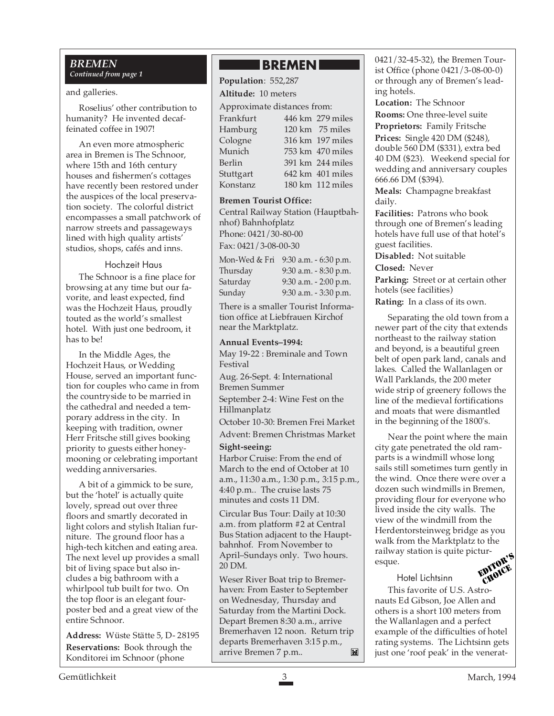### *BREMEN Continued from page 1*

### and galleries.

Roselius' other contribution to humanity? He invented decaffeinated coffee in 1907!

An even more atmospheric area in Bremen is The Schnoor, where 15th and 16th century houses and fishermen's cottages have recently been restored under the auspices of the local preservation society. The colorful district encompasses a small patchwork of narrow streets and passageways lined with high quality artists' studios, shops, cafés and inns.

### Hochzeit Haus

The Schnoor is a fine place for browsing at any time but our favorite, and least expected, find was the Hochzeit Haus, proudly touted as the world's smallest hotel. With just one bedroom, it has to be!

In the Middle Ages, the Hochzeit Haus, or Wedding House, served an important function for couples who came in from the countryside to be married in the cathedral and needed a temporary address in the city. In keeping with tradition, owner Herr Fritsche still gives booking priority to guests either honeymooning or celebrating important wedding anniversaries.

A bit of a gimmick to be sure, but the 'hotel' is actually quite lovely, spread out over three floors and smartly decorated in light colors and stylish Italian furniture. The ground floor has a high-tech kitchen and eating area. The next level up provides a small bit of living space but also includes a big bathroom with a whirlpool tub built for two. On the top floor is an elegant fourposter bed and a great view of the entire Schnoor.

**Address:** Wüste Stätte 5, D- 28195 **Reservations:** Book through the Konditorei im Schnoor (phone

### **BREMEN**

**Population**: 552,287

### **Altitude:** 10 meters

Approximate distances from:

| Frankfurt | 446 km 279 miles                     |
|-----------|--------------------------------------|
| Hamburg   | 120 km 75 miles                      |
| Cologne   | 316 km 197 miles                     |
| Munich    | 753 km 470 miles                     |
| Berlin    | 391 km 244 miles                     |
| Stuttgart | $642 \text{ km}$ $401 \text{ miles}$ |
| Konstanz  | 180 km 112 miles                     |

### **Bremen Tourist Office:**

Central Railway Station (Hauptbahnhof) Bahnhofplatz Phone: 0421/30-80-00 Fax: 0421/3-08-00-30

|          | Mon-Wed & Fri 9:30 a.m. - 6:30 p.m. |
|----------|-------------------------------------|
| Thursday | 9:30 a.m. - 8:30 p.m.               |
| Saturday | $9:30$ a.m. $-2:00$ p.m.            |
| Sunday   | 9:30 a.m. - 3:30 p.m.               |

There is a smaller Tourist Information office at Liebfrauen Kirchof near the Marktplatz.

### **Annual Events–1994:**

May 19-22 : Breminale and Town Festival

Aug. 26-Sept. 4: International Bremen Summer

September 2-4: Wine Fest on the Hillmanplatz

October 10-30: Bremen Frei Market

Advent: Bremen Christmas Market

### **Sight-seeing:**

Harbor Cruise: From the end of March to the end of October at 10 a.m., 11:30 a.m., 1:30 p.m., 3:15 p.m., 4:40 p.m.. The cruise lasts 75 minutes and costs 11 DM.

Circular Bus Tour: Daily at 10:30 a.m. from platform #2 at Central Bus Station adjacent to the Hauptbahnhof. From November to April–Sundays only. Two hours. 20 DM.

Weser River Boat trip to Bremerhaven: From Easter to September on Wednesday, Thursday and Saturday from the Martini Dock. Depart Bremen 8:30 a.m., arrive Bremerhaven 12 noon. Return trip departs Bremerhaven 3:15 p.m., arrive Bremen 7 p.m..  $\blacksquare$  0421/32-45-32), the Bremen Tourist Office (phone 0421/3-08-00-0) or through any of Bremen's leading hotels.

**Location:** The Schnoor **Rooms:** One three-level suite

**Proprietors:** Family Fritsche **Prices:** Single 420 DM (\$248), double 560 DM (\$331), extra bed 40 DM (\$23). Weekend special for wedding and anniversary couples 666.66 DM (\$394).

**Meals:** Champagne breakfast daily.

**Facilities:** Patrons who book through one of Bremen's leading hotels have full use of that hotel's guest facilities.

**Disabled:** Not suitable

**Closed:** Never

Parking: Street or at certain other hotels (see facilities)

**Rating:** In a class of its own.

Separating the old town from a newer part of the city that extends northeast to the railway station and beyond, is a beautiful green belt of open park land, canals and lakes. Called the Wallanlagen or Wall Parklands, the 200 meter wide strip of greenery follows the line of the medieval fortifications and moats that were dismantled in the beginning of the 1800's.

Near the point where the main city gate penetrated the old ramparts is a windmill whose long sails still sometimes turn gently in the wind. Once there were over a dozen such windmills in Bremen, providing flour for everyone who lived inside the city walls. The view of the windmill from the Herdentorsteinweg bridge as you walk from the Marktplatz to the railway station is quite picturesque. EDITOR'S

Hotel Lichtsinn

This favorite of U.S. Astronauts Ed Gibson, Joe Allen and others is a short 100 meters from the Wallanlagen and a perfect example of the difficulties of hotel rating systems. The Lichtsinn gets just one 'roof peak' in the venerat-CHOICE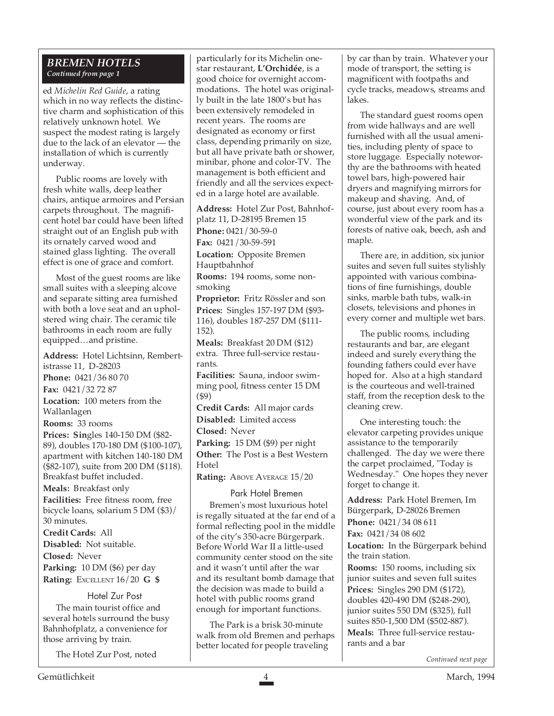### *BREMEN HOTELS Continued from page 1*

ed *Michelin Red Guide*, a rating which in no way reflects the distinctive charm and sophistication of this relatively unknown hotel. We suspect the modest rating is largely due to the lack of an elevator — the installation of which is currently underway.

Public rooms are lovely with fresh white walls, deep leather chairs, antique armoires and Persian carpets throughout. The magnificent hotel bar could have been lifted straight out of an English pub with its ornately carved wood and stained glass lighting. The overall effect is one of grace and comfort.

Most of the guest rooms are like small suites with a sleeping alcove and separate sitting area furnished with both a love seat and an upholstered wing chair. The ceramic tile bathrooms in each room are fully equipped…and pristine.

**Address:** Hotel Lichtsinn, Rembertistrasse 11, D-28203

**Phone:** 0421/36 80 70

**Fax:** 0421/32 72 87

**Location:** 100 meters from the Wallanlagen

**Rooms:** 33 rooms

**Prices: Sin**gles 140-150 DM (\$82- 89), doubles 170-180 DM (\$100-107), apartment with kitchen 140-180 DM (\$82-107), suite from 200 DM (\$118). Breakfast buffet included.

**Meals:** Breakfast only **Facilities:** Free fitness room, free bicycle loans, solarium 5 DM (\$3)/ 30 minutes.

**Credit Cards:** All **Disabled:** Not suitable. **Closed:** Never **Parking:** 10 DM (\$6) per day **Rating:** EXCELLENT 16/20 **G \$**

### Hotel Zur Post

The main tourist office and several hotels surround the busy Bahnhofplatz, a convenience for those arriving by train.

The Hotel Zur Post, noted

particularly for its Michelin onestar restaurant, **L'Orchidée**, is a good choice for overnight accommodations. The hotel was originally built in the late 1800's but has been extensively remodeled in recent years. The rooms are designated as economy or first class, depending primarily on size, but all have private bath or shower, minibar, phone and color-TV. The management is both efficient and friendly and all the services expected in a large hotel are available.

**Address:** Hotel Zur Post, Bahnhofplatz 11, D-28195 Bremen 15 **Phone:** 0421/30-59-0 **Fax:** 0421/30-59-591

**Location:** Opposite Bremen Hauptbahnhof

**Rooms:** 194 rooms, some nonsmoking

**Proprietor:** Fritz Rössler and son **Prices:** Singles 157-197 DM (\$93- 116), doubles 187-257 DM (\$111- 152).

**Meals:** Breakfast 20 DM (\$12) extra. Three full-service restaurants.

**Facilities:** Sauna, indoor swimming pool, fitness center 15 DM (\$9)

**Credit Cards:** All major cards **Disabled:** Limited access

**Closed:** Never

**Parking:** 15 DM (\$9) per night **Other:** The Post is a Best Western **Hotel** 

**Rating: ABOVE AVERAGE 15/20** 

Park Hotel Bremen

Bremen's most luxurious hotel is regally situated at the far end of a formal reflecting pool in the middle of the city's 350-acre Bürgerpark. Before World War II a little-used community center stood on the site and it wasn't until after the war and its resultant bomb damage that the decision was made to build a hotel with public rooms grand enough for important functions.

The Park is a brisk 30-minute walk from old Bremen and perhaps better located for people traveling

by car than by train. Whatever your mode of transport, the setting is magnificent with footpaths and cycle tracks, meadows, streams and lakes.

The standard guest rooms open from wide hallways and are well furnished with all the usual amenities, including plenty of space to store luggage. Especially noteworthy are the bathrooms with heated towel bars, high-powered hair dryers and magnifying mirrors for makeup and shaving. And, of course, just about every room has a wonderful view of the park and its forests of native oak, beech, ash and maple.

There are, in addition, six junior suites and seven full suites stylishly appointed with various combinations of fine furnishings, double sinks, marble bath tubs, walk-in closets, televisions and phones in every corner and multiple wet bars.

The public rooms, including restaurants and bar, are elegant indeed and surely everything the founding fathers could ever have hoped for. Also at a high standard is the courteous and well-trained staff, from the reception desk to the cleaning crew.

One interesting touch: the elevator carpeting provides unique assistance to the temporarily challenged. The day we were there the carpet proclaimed, "Today is Wednesday." One hopes they never forget to change it.

**Address:** Park Hotel Bremen, Im Bürgerpark, D-28026 Bremen **Phone:** 0421/34 08 611 **Fax:** 0421/34 08 602 **Location:** In the Bürgerpark behind the train station.

**Rooms:** 150 rooms, including six junior suites and seven full suites **Prices:** Singles 290 DM (\$172), doubles 420-490 DM (\$248-290), junior suites 550 DM (\$325), full suites 850-1,500 DM (\$502-887).

**Meals:** Three full-service restaurants and a bar

*Continued next page*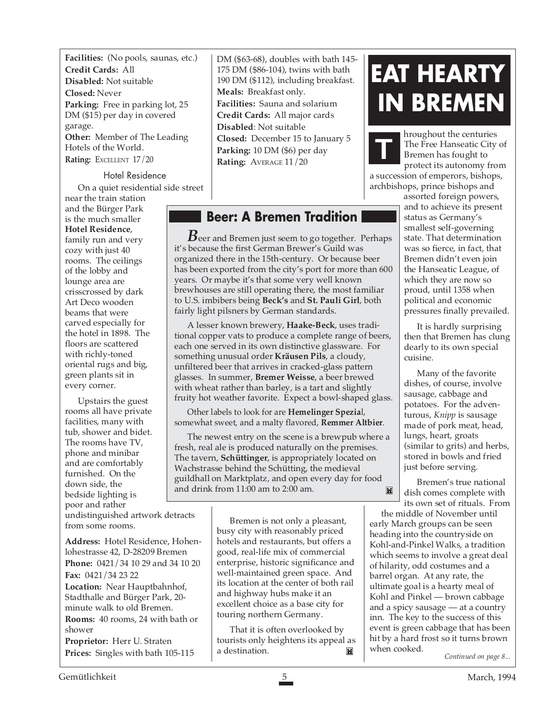**Facilities:** (No pools, saunas, etc.) **Credit Cards:** All **Disabled:** Not suitable **Closed:** Never **Parking:** Free in parking lot, 25 DM (\$15) per day in covered garage. **Other:** Member of The Leading Hotels of the World. **Rating:** EXCELLENT 17/20

### Hotel Residence On a quiet residential side street

near the train station and the Bürger Park is the much smaller **Hotel Residence**, family run and very cozy with just 40 rooms. The ceilings of the lobby and lounge area are crisscrossed by dark Art Deco wooden beams that were carved especially for the hotel in 1898. The floors are scattered with richly-toned oriental rugs and big, green plants sit in every corner.

Upstairs the guest rooms all have private facilities, many with tub, shower and bidet. The rooms have TV, phone and minibar and are comfortably furnished. On the down side, the bedside lighting is poor and rather undistinguished artwork detracts from some rooms.

**Address:** Hotel Residence, Hohenlohestrasse 42, D-28209 Bremen **Phone:** 0421/34 10 29 and 34 10 20 **Fax:** 0421/34 23 22 **Location:** Near Hauptbahnhof, Stadthalle and Bürger Park, 20 minute walk to old Bremen. **Rooms:** 40 rooms, 24 with bath or shower **Proprietor:** Herr U. Straten

DM (\$63-68), doubles with bath 145- 175 DM (\$86-104), twins with bath 190 DM (\$112), including breakfast. **Meals:** Breakfast only. **Facilities:** Sauna and solarium **Credit Cards:** All major cards **Disabled**: Not suitable **Closed:** December 15 to January 5 **Parking:** 10 DM (\$6) per day **Rating:** AVERAGE 11/20

### **Beer: A Bremen Tradition**

*B*eer and Bremen just seem to go together. Perhaps it's because the first German Brewer's Guild was organized there in the 15th-century. Or because beer has been exported from the city's port for more than 600 years. Or maybe it's that some very well known brewhouses are still operating there, the most familiar to U.S. imbibers being **Beck's** and **St. Pauli Girl**, both fairly light pilsners by German standards.

A lesser known brewery, **Haake-Beck**, uses traditional copper vats to produce a complete range of beers, each one served in its own distinctive glassware. For something unusual order **Kräusen Pils**, a cloudy, unfiltered beer that arrives in cracked-glass pattern glasses. In summer, **Bremer Weisse**, a beer brewed with wheat rather than barley, is a tart and slightly fruity hot weather favorite. Expect a bowl-shaped glass.

Other labels to look for are **Hemelinger Spezia**l, somewhat sweet, and a malty flavored, **Remmer Altbier**.

The newest entry on the scene is a brewpub where a fresh, real ale is produced naturally on the premises. The tavern, **Schüttinger**, is appropriately located on Wachstrasse behind the Schütting, the medieval guildhall on Marktplatz, and open every day for food and drink from 11:00 am to 2:00 am. M

> Bremen is not only a pleasant, busy city with reasonably priced hotels and restaurants, but offers a good, real-life mix of commercial enterprise, historic significance and well-maintained green space. And its location at the center of both rail and highway hubs make it an excellent choice as a base city for touring northern Germany.

That it is often overlooked by tourists only heightens its appeal as a destination. **Prices:** Singles with bath 105-115 **a** destination. **a M EXECU** When cooked. Continued on page 8...

## **EAT HEARTY IN BREMEN**

hroughout the centuries The Free Hanseatic City of Bremen has fought to protect its autonomy from a succession of emperors, bishops, **T**

archbishops, prince bishops and

assorted foreign powers, and to achieve its present status as Germany's smallest self-governing state. That determination was so fierce, in fact, that Bremen didn't even join the Hanseatic League, of which they are now so proud, until 1358 when political and economic pressures finally prevailed.

It is hardly surprising then that Bremen has clung dearly to its own special cuisine.

Many of the favorite dishes, of course, involve sausage, cabbage and potatoes. For the adventurous, *Knipp* is sausage made of pork meat, head, lungs, heart, groats (similar to grits) and herbs, stored in bowls and fried just before serving.

Bremen's true national dish comes complete with its own set of rituals. From

the middle of November until early March groups can be seen heading into the countryside on Kohl-and-Pinkel Walks, a tradition which seems to involve a great deal of hilarity, odd costumes and a barrel organ. At any rate, the ultimate goal is a hearty meal of Kohl and Pinkel — brown cabbage and a spicy sausage — at a country inn. The key to the success of this event is green cabbage that has been hit by a hard frost so it turns brown when cooked.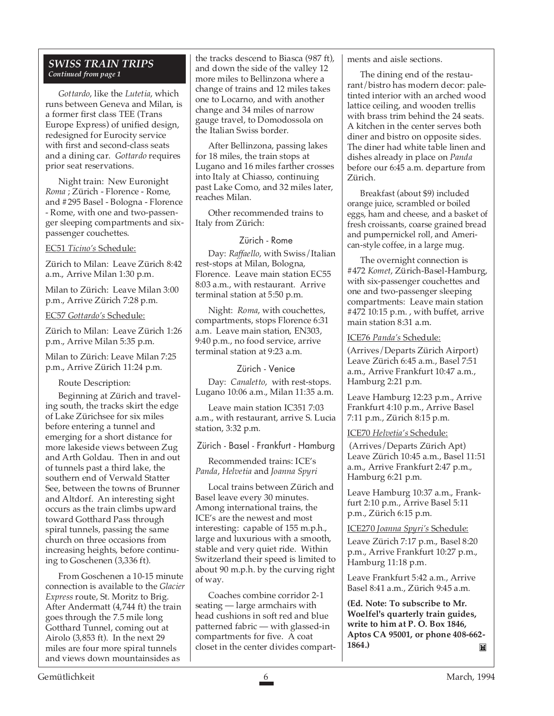### *SWISS TRAIN TRIPS Continued from page 1*

*Gottardo*, like the *Lutetia*, which runs between Geneva and Milan, is a former first class TEE (Trans Europe Express) of unified design, redesigned for Eurocity service with first and second-class seats and a dining car. *Gottardo* requires prior seat reservations.

Night train: New Euronight *Roma* ; Zürich - Florence - Rome, and #295 Basel - Bologna - Florence - Rome, with one and two-passenger sleeping compartments and sixpassenger couchettes.

### EC51 *Ticino's* Schedule:

Zürich to Milan: Leave Zürich 8:42 a.m., Arrive Milan 1:30 p.m.

Milan to Zürich: Leave Milan 3:00 p.m., Arrive Zürich 7:28 p.m.

### EC57 *Gottardo's* Schedule:

Zürich to Milan: Leave Zürich 1:26 p.m., Arrive Milan 5:35 p.m.

Milan to Zürich: Leave Milan 7:25 p.m., Arrive Zürich 11:24 p.m.

Route Description:

Beginning at Zürich and traveling south, the tracks skirt the edge of Lake Zürichsee for six miles before entering a tunnel and emerging for a short distance for more lakeside views between Zug and Arth Goldau. Then in and out of tunnels past a third lake, the southern end of Verwald Statter See, between the towns of Brunner and Altdorf. An interesting sight occurs as the train climbs upward toward Gotthard Pass through spiral tunnels, passing the same church on three occasions from increasing heights, before continuing to Goschenen (3,336 ft).

From Goschenen a 10-15 minute connection is available to the *Glacier Express* route, St. Moritz to Brig. After Andermatt (4,744 ft) the train goes through the 7.5 mile long Gotthard Tunnel, coming out at Airolo (3,853 ft). In the next 29 miles are four more spiral tunnels and views down mountainsides as

the tracks descend to Biasca (987 ft), and down the side of the valley 12 more miles to Bellinzona where a change of trains and 12 miles takes one to Locarno, and with another change and 34 miles of narrow gauge travel, to Domodossola on the Italian Swiss border.

After Bellinzona, passing lakes for 18 miles, the train stops at Lugano and 16 miles farther crosses into Italy at Chiasso, continuing past Lake Como, and 32 miles later, reaches Milan.

Other recommended trains to Italy from Zürich:

### Zürich - Rome

Day: *Raffaello*, with Swiss/Italian rest-stops at Milan, Bologna, Florence. Leave main station EC55 8:03 a.m., with restaurant. Arrive terminal station at 5:50 p.m.

Night: *Roma*, with couchettes, compartments, stops Florence 6:31 a.m. Leave main station, EN303, 9:40 p.m., no food service, arrive terminal station at 9:23 a.m.

Zürich - Venice

Day: *Canaletto*, with rest-stops. Lugano 10:06 a.m., Milan 11:35 a.m.

Leave main station IC351 7:03 a.m., with restaurant, arrive S. Lucia station, 3:32 p.m.

Zürich - Basel - Frankfurt - Hamburg

Recommended trains: ICE's *Panda*, *Helvetia* and *Joanna Spyri*

Local trains between Zürich and Basel leave every 30 minutes. Among international trains, the ICE's are the newest and most interesting: capable of 155 m.p.h., large and luxurious with a smooth, stable and very quiet ride. Within Switzerland their speed is limited to about 90 m.p.h. by the curving right of way.

Coaches combine corridor 2-1 seating — large armchairs with head cushions in soft red and blue patterned fabric — with glassed-in compartments for five. A coat closet in the center divides compartments and aisle sections.

The dining end of the restaurant/bistro has modern decor: paletinted interior with an arched wood lattice ceiling, and wooden trellis with brass trim behind the 24 seats. A kitchen in the center serves both diner and bistro on opposite sides. The diner had white table linen and dishes already in place on *Panda* before our 6:45 a.m. departure from Zürich.

Breakfast (about \$9) included orange juice, scrambled or boiled eggs, ham and cheese, and a basket of fresh croissants, coarse grained bread and pumpernickel roll, and American-style coffee, in a large mug.

The overnight connection is #472 *Komet*, Zürich-Basel-Hamburg, with six-passenger couchettes and one and two-passenger sleeping compartments: Leave main station #472 10:15 p.m. , with buffet, arrive main station 8:31 a.m.

### ICE76 *Panda's* Schedule:

(Arrives/Departs Zürich Airport) Leave Zürich 6:45 a.m., Basel 7:51 a.m., Arrive Frankfurt 10:47 a.m., Hamburg 2:21 p.m.

Leave Hamburg 12:23 p.m., Arrive Frankfurt 4:10 p.m., Arrive Basel 7:11 p.m., Zürich 8:15 p.m.

### ICE70 *Helvetia's* Schedule:

 (Arrives/Departs Zürich Apt) Leave Zürich 10:45 a.m., Basel 11:51 a.m., Arrive Frankfurt 2:47 p.m., Hamburg 6:21 p.m.

Leave Hamburg 10:37 a.m., Frankfurt 2:10 p.m., Arrive Basel 5:11 p.m., Zürich 6:15 p.m.

ICE270 *Joanna Spyri's* Schedule:

Leave Zürich 7:17 p.m., Basel 8:20 p.m., Arrive Frankfurt 10:27 p.m., Hamburg 11:18 p.m.

Leave Frankfurt 5:42 a.m., Arrive Basel 8:41 a.m., Zürich 9:45 a.m.

**(Ed. Note: To subscribe to Mr. Woelfel's quarterly train guides, write to him at P. O. Box 1846, Aptos CA 95001, or phone 408-662- 1864.)**  $\mathbf{M}$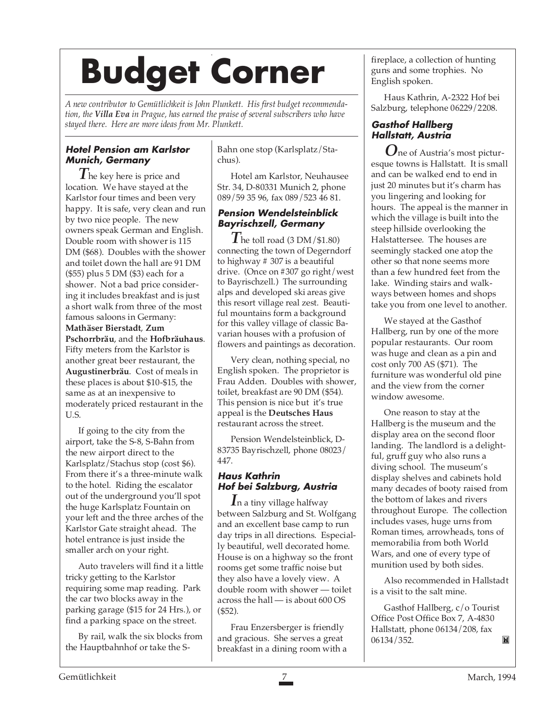# **Budget Corner**

*A new contributor to Gemütlichkeit is John Plunkett. His first budget recommendation, the Villa Eva in Prague, has earned the praise of several subscribers who have stayed there. Here are more ideas from Mr. Plunkett.*

### **Hotel Pension am Karlstor Munich, Germany**

*T* he key here is price and location. We have stayed at the Karlstor four times and been very happy. It is safe, very clean and run by two nice people. The new owners speak German and English. Double room with shower is 115 DM (\$68). Doubles with the shower and toilet down the hall are 91 DM (\$55) plus 5 DM (\$3) each for a shower. Not a bad price considering it includes breakfast and is just a short walk from three of the most famous saloons in Germany: **Mathäser Bierstadt**, **Zum Pschorrbräu**, and the **Hofbräuhaus**. Fifty meters from the Karlstor is another great beer restaurant, the **Augustinerbräu**. Cost of meals in these places is about \$10-\$15, the same as at an inexpensive to moderately priced restaurant in the U.S.

If going to the city from the airport, take the S-8, S-Bahn from the new airport direct to the Karlsplatz/Stachus stop (cost \$6). From there it's a three-minute walk to the hotel. Riding the escalator out of the underground you'll spot the huge Karlsplatz Fountain on your left and the three arches of the Karlstor Gate straight ahead. The hotel entrance is just inside the smaller arch on your right.

Auto travelers will find it a little tricky getting to the Karlstor requiring some map reading. Park the car two blocks away in the parking garage (\$15 for 24 Hrs.), or find a parking space on the street.

By rail, walk the six blocks from the Hauptbahnhof or take the S-

Bahn one stop (Karlsplatz/Stachus).

Hotel am Karlstor, Neuhausee Str. 34, D-80331 Munich 2, phone 089/59 35 96, fax 089/523 46 81.

### **Pension Wendelsteinblick Bayrischzell, Germany**

 $\overline{I}$  he toll road (3 DM/\$1.80) connecting the town of Degerndorf to highway # 307 is a beautiful drive. (Once on #307 go right/west to Bayrischzell.) The surrounding alps and developed ski areas give this resort village real zest. Beautiful mountains form a background for this valley village of classic Bavarian houses with a profusion of flowers and paintings as decoration.

Very clean, nothing special, no English spoken. The proprietor is Frau Adden. Doubles with shower, toilet, breakfast are 90 DM (\$54). This pension is nice but it's true appeal is the **Deutsches Haus** restaurant across the street.

Pension Wendelsteinblick, D-83735 Bayrischzell, phone 08023/ 447.

### **Haus Kathrin Hof bei Salzburg, Austria**

*I*n a tiny village halfway between Salzburg and St. Wolfgang and an excellent base camp to run day trips in all directions. Especially beautiful, well decorated home. House is on a highway so the front rooms get some traffic noise but they also have a lovely view. A double room with shower — toilet across the hall — is about 600 OS (\$52).

Frau Enzersberger is friendly and gracious. She serves a great breakfast in a dining room with a fireplace, a collection of hunting guns and some trophies. No English spoken.

Haus Kathrin, A-2322 Hof bei Salzburg, telephone 06229/2208.

### **Gasthof Hallberg Hallstatt, Austria**

*O*ne of Austria's most picturesque towns is Hallstatt. It is small and can be walked end to end in just 20 minutes but it's charm has you lingering and looking for hours. The appeal is the manner in which the village is built into the steep hillside overlooking the Halstattersee. The houses are seemingly stacked one atop the other so that none seems more than a few hundred feet from the lake. Winding stairs and walkways between homes and shops take you from one level to another.

We stayed at the Gasthof Hallberg, run by one of the more popular restaurants. Our room was huge and clean as a pin and cost only 700 AS (\$71). The furniture was wonderful old pine and the view from the corner window awesome.

One reason to stay at the Hallberg is the museum and the display area on the second floor landing. The landlord is a delightful, gruff guy who also runs a diving school. The museum's display shelves and cabinets hold many decades of booty raised from the bottom of lakes and rivers throughout Europe. The collection includes vases, huge urns from Roman times, arrowheads, tons of memorabilia from both World Wars, and one of every type of munition used by both sides.

Also recommended in Hallstadt is a visit to the salt mine.

Gasthof Hallberg, c/o Tourist Office Post Office Box 7, A-4830 Hallstatt, phone 06134/208, fax 06134/352.M